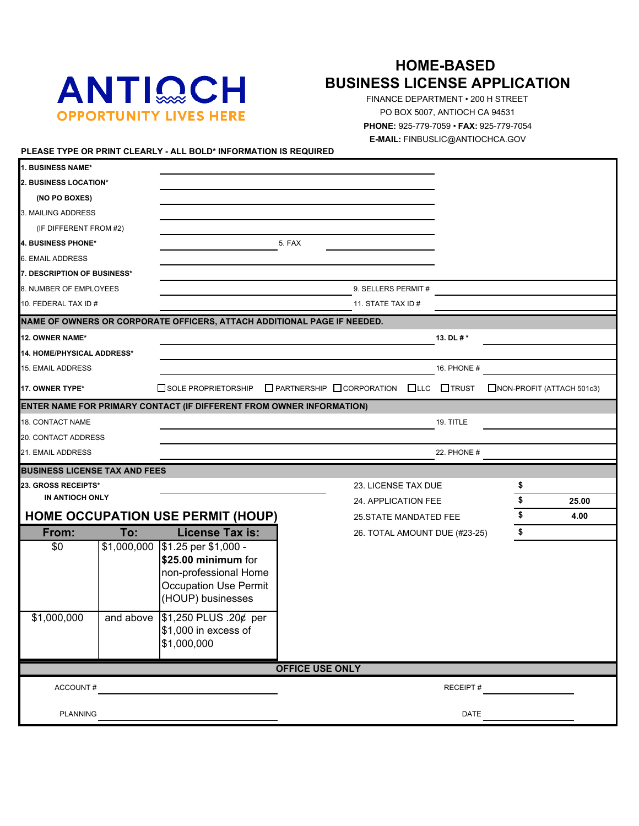# ANTIQCH **OPPORTUNITY LIVES HERE**

## **HOME-BASED BUSINESS LICENSE APPLICATION**

FINANCE DEPARTMENT • 200 H STREET PO BOX 5007, ANTIOCH CA 94531 **PHONE:** 925-779-7059 • **FAX:** 925-779-7054 **E-MAIL:** FINBUSLIC@ANTIOCHCA.GOV

#### **PLEASE TYPE OR PRINT CLEARLY - ALL BOLD\* INFORMATION IS REQUIRED**

| 2. BUSINESS LOCATION*                |             |                                                                                                                           |                        |                                                               |             |    |                           |
|--------------------------------------|-------------|---------------------------------------------------------------------------------------------------------------------------|------------------------|---------------------------------------------------------------|-------------|----|---------------------------|
| (NO PO BOXES)                        |             |                                                                                                                           |                        |                                                               |             |    |                           |
| 3. MAILING ADDRESS                   |             |                                                                                                                           |                        |                                                               |             |    |                           |
| (IF DIFFERENT FROM #2)               |             |                                                                                                                           |                        |                                                               |             |    |                           |
| <b>4. BUSINESS PHONE*</b>            |             |                                                                                                                           | 5. FAX                 |                                                               |             |    |                           |
| <b>6. EMAIL ADDRESS</b>              |             |                                                                                                                           |                        |                                                               |             |    |                           |
| 7. DESCRIPTION OF BUSINESS*          |             |                                                                                                                           |                        |                                                               |             |    |                           |
| 8. NUMBER OF EMPLOYEES               |             |                                                                                                                           |                        | 9. SELLERS PERMIT #                                           |             |    |                           |
| 10. FEDERAL TAX ID #                 |             |                                                                                                                           |                        | 11. STATE TAX ID #                                            |             |    |                           |
|                                      |             | NAME OF OWNERS OR CORPORATE OFFICERS, ATTACH ADDITIONAL PAGE IF NEEDED.                                                   |                        |                                                               |             |    |                           |
| 12. OWNER NAME*                      |             |                                                                                                                           |                        |                                                               | 13. DL #*   |    |                           |
| <b>14. HOME/PHYSICAL ADDRESS*</b>    |             |                                                                                                                           |                        |                                                               |             |    |                           |
| 15. EMAIL ADDRESS                    |             |                                                                                                                           |                        |                                                               | 16. PHONE # |    |                           |
| 17. OWNER TYPE*                      |             | SOLE PROPRIETORSHIP                                                                                                       |                        | $\Box$ PARTNERSHIP $\Box$ CORPORATION $\Box$ LLC $\Box$ TRUST |             |    | NON-PROFIT (ATTACH 501c3) |
|                                      |             | ENTER NAME FOR PRIMARY CONTACT (IF DIFFERENT FROM OWNER INFORMATION)                                                      |                        |                                                               |             |    |                           |
| <b>18. CONTACT NAME</b>              |             |                                                                                                                           |                        |                                                               | 19. TITLE   |    |                           |
| 20. CONTACT ADDRESS                  |             |                                                                                                                           |                        |                                                               |             |    |                           |
|                                      |             |                                                                                                                           |                        |                                                               |             |    |                           |
| 21. EMAIL ADDRESS                    |             |                                                                                                                           |                        |                                                               | 22. PHONE # |    |                           |
| <b>BUSINESS LICENSE TAX AND FEES</b> |             |                                                                                                                           |                        |                                                               |             |    |                           |
| 23. GROSS RECEIPTS*                  |             |                                                                                                                           |                        | 23. LICENSE TAX DUE                                           |             | \$ |                           |
| IN ANTIOCH ONLY                      |             |                                                                                                                           |                        | 24. APPLICATION FEE                                           |             | \$ | 25.00                     |
|                                      |             | <b>HOME OCCUPATION USE PERMIT (HOUP)</b>                                                                                  |                        | 25. STATE MANDATED FEE                                        |             | \$ | 4.00                      |
| From:                                | To:         | <b>License Tax is:</b>                                                                                                    |                        | 26. TOTAL AMOUNT DUE (#23-25)                                 |             | \$ |                           |
| \$0                                  | \$1,000,000 | \$1.25 per \$1,000 -<br>\$25.00 minimum for<br>non-professional Home<br><b>Occupation Use Permit</b><br>(HOUP) businesses |                        |                                                               |             |    |                           |
| \$1,000,000                          | and above   | \$1,250 PLUS .20¢ per<br>\$1,000 in excess of<br>\$1,000,000                                                              |                        |                                                               |             |    |                           |
|                                      |             |                                                                                                                           | <b>OFFICE USE ONLY</b> |                                                               |             |    |                           |
| ACCOUNT#                             |             |                                                                                                                           |                        |                                                               | RECEIPT#    |    |                           |